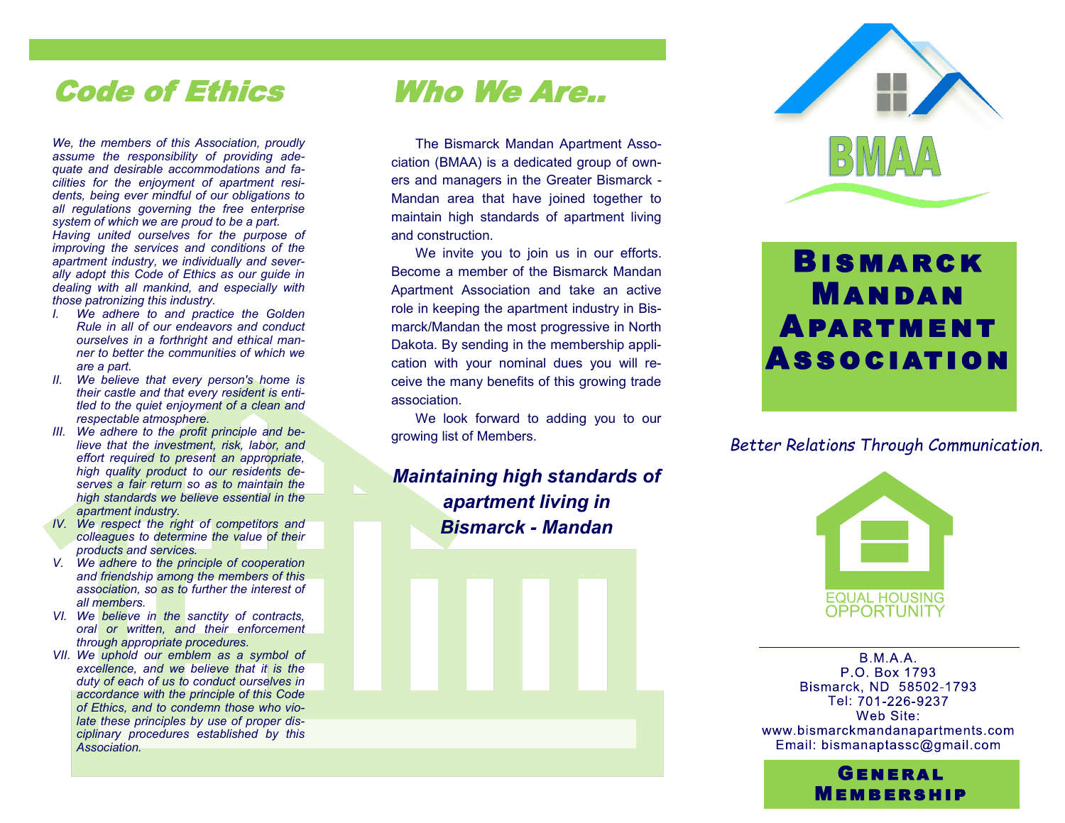## Code of Ethics

*We, the members of this Association, proudly assume the responsibility of providing adequate and desirable accommodations and facilities for the enjoyment of apartment residents, being ever mindful of our obligations to all regulations governing the free enterprise system of which we are proud to be a part. Having united ourselves for the purpose of improving the services and conditions of the apartment industry, we individually and severally adopt this Code of Ethics as our guide in dealing with all mankind, and especially with those patronizing this industry.*

- *I. We adhere to and practice the Golden Rule in all of our endeavors and conduct ourselves in a forthright and ethical manner to better the communities of which we are a part.*
- *II. We believe that every person's home is their castle and that every resident is entitled to the quiet enjoyment of a clean and respectable atmosphere.*
- *III. We adhere to the profit principle and believe that the investment, risk, labor, and effort required to present an appropriate, high quality product to our residents deserves a fair return so as to maintain the high standards we believe essential in the apartment industry.*
- *IV. We respect the right of competitors and colleagues to determine the value of their products and services.*
- *V. We adhere to the principle of cooperation and friendship among the members of this association, so as to further the interest of all members.*
- *VI. We believe in the sanctity of contracts, oral or written, and their enforcement through appropriate procedures.*
- *VII. We uphold our emblem as a symbol of excellence, and we believe that it is the duty of each of us to conduct ourselves in accordance with the principle of this Code of Ethics, and to condemn those who violate these principles by use of proper disciplinary procedures established by this Association.*

## Who We Are..

The Bismarck Mandan Apartment Association (BMAA) is a dedicated group of owners and managers in the Greater Bismarck - Mandan area that have joined together to maintain high standards of apartment living and construction.

We invite you to join us in our efforts. Become a member of the Bismarck Mandan Apartment Association and take an active role in keeping the apartment industry in Bismarck/Mandan the most progressive in North Dakota. By sending in the membership application with your nominal dues you will receive the many benefits of this growing trade association.

We look forward to adding you to our growing list of Members.

#### *Maintaining high standards of apartment living in Bismarck - Mandan*



# Bismarck Mandan Apartment Association

#### *Better Relations Through Communication.*



**BMAA** P.O. Box 1793 Bismarck, ND 58502-1793 Tel: 701-226-9237 Web Site: www.bismarckmandanapartments.com Email: bismanaptassc@gmail.com